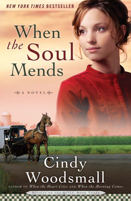**NEW YORK TIMES BESTSELLER** 

# When<br>the Soul Mends

who A NOVEL 3m

## Cindy<br>Woodsmall AUTHOR OF When the Heart Cries AND When the Morning Comes

THE QUILT, BOOK THREE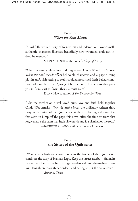#### **Praise for** *When the Soul Mends*

"A skillfully written story of forgiveness and redemption. Woodsmall's authentic characters illustrate beautifully how wounded souls can indeed be mended."

—SUSAN MEISSNER, author of *The Shape of Mercy*

"A heartwarming tale of love and forgiveness, Cindy Woodsmall's novel *When the Soul Mends* offers believable characters and a page-turning plot in an Amish setting so real I could almost smell fresh-baked cinnamon rolls and hear the *clip-clop* of horses' hoofs. For a book that pulls you in from start to finish, this is a must-read!"

—DIANN HUNT, author of *For Better or for Worse*

"Like the stitches on a well-loved quilt, love and faith hold together Cindy Woodsmall's *When the Soul Mends,* the brilliantly written third story in the Sisters of the Quilt series. With deft plotting and characters that seem to jump off the page, this novel offers the timeless truth that forgiveness is the balm that heals all wounds and is a blanket for the soul." —KATHLEEN Y'BARBO, author of *Beloved Castaway*

#### **Praise for the Sisters of the Quilt series**

"Woodsmall's fantastic second book in the Sisters of the Quilt series continues the story of Hannah Lapp. Keep the tissues nearby—Hannah's tale will tug hard at the heartstrings. Readers will find themselves cheering Hannah on through her ordeals and hating to put the book down."

—*Romantic Times*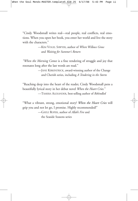"Cindy Woodsmall writes real—real people, real conflicts, real emotions. When you open her book, you enter her world and live the story with the characters."

> —KIM VOGEL SAWYER, author of *Where Willows Grow* and *Waiting for Summer's Return*

*"When the Morning Comes* is a fine rendering of struggle and joy that resonates long after the last words are read."

> —JANE KIRKPATRICK, award-winning author of the Change and Cherish series, including *A Tendering in the Storm*

"Reaching deep into the heart of the reader, Cindy Woodsmall pens a beautifully lyrical story in her debut novel *When the Heart Cries.*" —TAMERA ALEXANDER, best-selling author of *Rekindled*

"What a vibrant, strong, emotional story! *When the Heart Cries* will grip you and not let go, I promise. Highly recommended!"

> —GAYLE ROPER, author of *Allah's Fire* and the Seaside Seasons series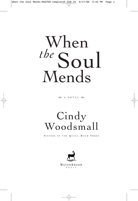When the<sup>Soul</sup> Mends

mp A NOVEL com

### Cindy Woodsmall

**S I S T E R S O F T H E Q U I L T , B O O K T H R E E**

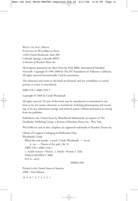WHEN THE SOUL MENDS PUBLISHED BY WATERBROOK PRESS 12265 Oracle Boulevard, Suite 200 Colorado Springs, Colorado 80921 *A division of Random House Inc.*

All Scripture quotations are taken from the Holy Bible: International Standard Version®. Copyright © 1996-2008 by The ISV Foundation of Fullerton, California. All rights reserved internationally. Used by permission.

The characters and events in this book are fictional, and any resemblance to actual persons or events is coincidental.

ISBN 978-1-4000-7294-1

Copyright © 2008 by Cindy Woodsmall

All rights reserved. No part of this book may be reproduced or transmitted in any form or by any means, electronic or mechanical, including photocopying and recording, or by any information storage and retrieval system, without permission in writing from the publisher.

Published in the United States by WaterBrook Multnomah, an imprint of The Doubleday Publishing Group, a division of Random House Inc., New York.

WATERBROOK and its deer colophon are registered trademarks of Random House Inc.

Library of Congress Cataloging-in-Publication Data Woodsmall, Cindy. When the soul mends : a novel / Cindy Woodsmall. — 1st ed. p. cm. — (Sisters of the quilt ; bk. 3) ISBN 978-1-4000-7294-1 1. Amish women—Fiction. 2. Amish—Fiction. I. Title. PS3623.O678W477 2008 813'.6—dc22

2008021380

Printed in the United States of America 2008—First Edition

10 9 8 7 6 5 4 3 2 1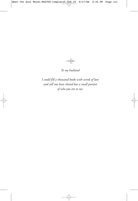sym

#### *To my husband*

*I could fill a thousand books with words of love and still not have shared but a small portion of who you are to me.*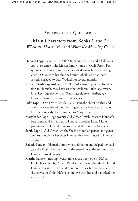#### SISTERS OF THE QUILT SERIES

#### **Main Characters from Books 1 and 2:** *When the Heart Cries* **and** *When the Morning Comes*

- **Hannah Lapp—**age twenty, Old Order Amish. Two and a half years ago, at seventeen, she left her family home in Owl's Perch, Pennsylvania, in disgrace, and she established a new life in Winding Creek, Ohio, with her shunned aunt Zabeth. She had been secretly engaged to Paul Waddell for several months.
- **Zeb and Ruth Lapp—**Hannah's Old Order Amish parents. In addition to Hannah, they have six other children: Luke, age twentyfour; Levi, age twenty-two; Sarah, age eighteen; Esther, age fourteen; Samuel, age nine; Rebecca, age six.
- **Luke Lapp—**Old Order Amish. He is Hannah's eldest brother and one-time close friend, but he struggled to believe the truth about his sister's tragedy. He is married to Mary Yoder.
- **Mary Yoder Lapp—**age twenty, Old Order Amish. Mary is Hannah's best friend and is married to Hannah's brother Luke. Mary's parents are Becky and John Yoder, and she has nine brothers.
- **Sarah Lapp—**Old Order Amish. She is a troubled person and generated rumors about her sister Hannah that contributed to Hannah's disgrace.
- **Zabeth Bender—**Hannah's aunt who took her in and helped her navigate the Englischer world until she passed away the summer after Hannah turned twenty.
- **Martin Palmer—**turning twenty-nine as the book opens. He's an Englischer raised by Zabeth Bender after his mother died. He and Hannah became friends and a support for each other soon after she arrived in Ohio. He's fallen in love with her and has asked her to marry him.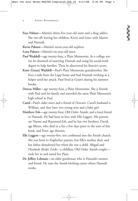- **Faye Palmer—**Martin's thirty-five-year-old sister and a drug addict. She ran off, leaving her children, Kevin and Lissa, with Martin and Hannah.
- **Kevin Palmer—**Martin's seven-year-old nephew.
- **Lissa Palmer—**Martin's six-year-old niece.
- **Paul Waddell—**age twenty-four, a Plain Mennonite. As a college senior, he dreamed of marrying Hannah and using his social-work degree to help families. Then he discovered his fiancée's secret.
- **Katie [Gram] Waddell—**Paul's Plain Mennonite grandmother. She lives a mile from the Lapp home and had Hannah working as a helper until her attack. Paul lived at Gram's during his summer breaks.
- **Dorcas Miller—**age twenty-four, a Plain Mennonite. She is friends with Paul and his family and attended the same Plain Mennonite high school as Paul.
- **Carol—**Paul's older sister and a friend of Dorcas's. Carol's husband is William, and they have two young sons and a baby girl.
- **Matthew Esh—**age twenty-four, Old Order Amish, and a loyal friend to Hannah. He had been in love with Elle Leggett. His parents are Naomi and Raymond Esh, and he has two brothers: David, age fifteen, who died in a fire a few days prior to the start of this book, and Peter, age thirteen.
- **Elle Leggett—**age twenty-five, not confirmed into the Amish church. She was born to Englischer parents, but Elle's mother died, and her father abandoned her when she was a child. Abigail and Hezekiah (Kiah) Zook—a childless, Old Order Amish couple took her in and raised her Plain.
- **Dr. Jeffrey Lehman—**an older gentleman who is Hannah's mentor and friend. He runs the Amish birthing center where Hannah works.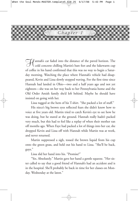

 $\mathcal{F}(\ell)$  annah's car faded into the distance of the paved horizon. The cold concrete chilling Martin's bare feet and the lukewarm cup of coffee in his hand confirmed that this was no way to begin a Saturday morning. Watching the place where Hannah's vehicle had disappeared, Kevin and Lissa slowly stopped waving. For the first time since Hannah had landed in Ohio—two and a half years ago and not yet eighteen—she was on her way back to her Pennsylvania home and the Old Order Amish family she'd left behind. Maybe he should have insisted on going with her.

Lissa tugged at the hem of his T-shirt. "She packed a lot of stuff."

His niece's big brown eyes reflected fears she didn't know how to voice at five years old. Martin tried to catch Kevin's eye to see how he was doing, but he stared at the ground. Hannah really hadn't packed very much, but this had to feel like a replay of when their mother ran off months ago. When Faye had packed a lot of things into her car, she dropped Kevin and Lissa off with Hannah while Martin was at work, and never returned.

Martin suppressed a sigh, tossed the brown liquid from his cup onto the green grass, and held out his hand to Lissa. "She'll be back, guys."

Lissa slid her hand into his. "Promise?"

"Yes. Absolutely." Martin gave her hand a gentle squeeze. "Her sister called to say that a good friend of Hannah's had an accident and is in the hospital. She'll probably be back in time for her classes on Monday. Wednesday at the latest."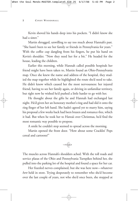Kevin shoved his hands deep into his pockets. "I didn't know she had a sister."

Martin shrugged, unwilling to say too much about Hannah's past. "She hasn't been to see her family or friends in Pennsylvania for years." With the coffee cup dangling from his fingers, he put his hand on Kevin's shoulder. "Now they need her for a bit." He headed for the house, leading the children.

Earlier this morning, while Hannah called possible hospitals her friend might have been taken to, Martin found an Ohio-Pennsylvania map. Once she knew the name and address of the hospital, they studied the map together while he highlighted the route she'd need to take. He didn't know which caused her the most nervousness: her injured friend, having to see her family again, or driving in unfamiliar territory, but right now he wished he'd pushed a little harder to go with her.

He thought about the gifts he and Hannah had exchanged last night. He'd given her an honorary mother's ring and had slid it onto the ring finger of her left hand. She hadn't agreed yet to marry him, saying his proposal a few weeks back had been brazen and romance-free, which it had. But when he took her to Hawaii over Christmas, he'd find the most romantic way possible to propose.

A smile he couldn't stop seemed to spread across the morning.

Martin opened the front door. "How about some Cracklin' Pops cereal and cartoons?"



The muscles across Hannah's shoulders ached. With the toll roads and service plazas of the Ohio and Pennsylvania Turnpikes behind her, she pulled into the parking lot of the hospital and found a space for her car.

Her frazzled nerves complained, but she was here now—whatever *here* held in store. Trying desperately to remember who she'd become over the last couple of years, not who she'd once been, she stopped at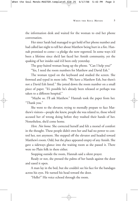the information desk and waited for the woman to end her phone conversation.

Her sister Sarah had managed to get hold of her phone number and had called last night to tell her about Matthew being hurt in a fire. Hannah promised to come—a pledge she now regretted. In some ways it'd been a lifetime since she'd last faced her Amish community, yet the quaking of her insides said it'd been only yesterday.

The gray-haired woman hung up the phone. "Can I help you?"

"Yes, I need the room numbers for Matthew and David Esh."

The woman typed on the keyboard and studied the screen. She frowned and typed in more info. "We have a Matthew Esh, but there's not a David Esh listed." She jotted down the room number on a small piece of paper. "It's possible he's already been released or perhaps was taken to a different hospital."

"Maybe so. I'll ask Matthew." Hannah took the paper from her. "Thank you."

She went to the elevator, trying to mentally prepare to face Matthew's visitors—people she knew, people she was related to, those who'd accused her of wrong doing before they washed their hands of her. Nonetheless, she'd come home.

*Here. Not home.* She corrected herself and felt a morsel of comfort in the thought. These people didn't own her and had no power to control her, not anymore. She stepped off the elevator and headed toward Matthew's room. Odd, but the place appeared empty of any Amish. She gave a sideways glance into the waiting room as she passed it. There were no Plain folk in there either.

Stopping outside the room, Hannah said a silent prayer.

Ready or not, she pressed the palms of her hands against the door and eased it open.

A man lay in the bed, but she couldn't see his face for the bandages across his eyes. He turned his head toward the door.

"Hello?" His voice echoed through the room.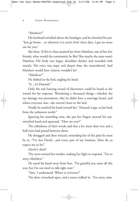#### "Matthew?"

His forehead wrinkled above the bandages, and he clenched his jaw. "Just go home…or wherever it is you're livin' these days. I got no more use for you."

She froze. If this is what awaited her from Matthew, one of her few friends, what would the community be like? But maybe the man wasn't Matthew. His body was larger, shoulders thicker and rounded with muscle. His voice was raspy and deeper than she remembered. And Matthew would have visitors, wouldn't he?

"Matthew?"

He shifted in the bed, angling his head.

"It…it's Hannah."

Only the soft buzzing sound of electronics could be heard as she waited for his response. Wondering a thousand things—whether the eye damage was permanent, why he didn't have a marriage beard, and where everyone was—she moved closer to the bed.

Finally he reached his hand toward her. "Hannah Lapp, at last back from the unknown world."

Ignoring his unsettling tone, she put her fingers around his outstretched hand and squeezed. "How are you?"

The stiltedness of their words said that a lot more than two and a half years had passed between them.

He shrugged and then winced, reminding her of the pain he must be in. "I've lost David…and every part of my business. How do ya expect me to be?"

#### *David is dead?*

The news twisted her insides, making her fight to respond. "I'm so sorry, Matthew."

He eased his hand away from hers. "I'm grateful you came all this way, but I'm too tired to talk right now."

"Sure. I understand. Where is everyone?"

The door swooshed open, and a nurse walked in. "I'm sorry, miss.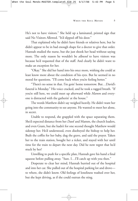He's not to have visitors." She held up a laminated, printed sign that said No Visitors Allowed. "It'd slipped off his door."

That explained why he didn't have friends or relatives here, but he didn't appear to be in bad enough shape for a doctor to give that order. Hannah studied the nurse, but she just shook her head without saying more. The only reason he wouldn't be *allowed* to have visitors was because he'd requested that of the staff. And clearly he didn't want to make an exception for her.

"Okay." She slid her hand into his once more, wishing she could at least know more about the condition of his eyes. But he seemed in no mood for questions. "I'll come back when you're feeling better."

"There's no sense in that. I'm goin' home tomorrow. But…David's funeral is Monday." His voice cracked, and he took a ragged breath. "If you're still here, we could meet up afterward while *Mamm* and everyone is distracted with the gatherin' at the house."

The words Matthew didn't say weighed heavily. He didn't want her going into the community to see anyone. He wanted to meet her alone, in secret.

Unable to respond, she grappled with the space separating them. She'd expected distance from her *Daed* and Mamm, the church leaders, and even Gram, but she hadn't for one second thought Matthew would sidestep her. He'd understood, even disobeyed the bishop to help her. Built the coffin for her baby, dug the grave, and said the prayer. Taken her to the train station, bought her a ticket, and stayed with her until time for the train to depart the next day. Did he now regret that he'd stuck by her?

Unwilling to push for a specific plan, Hannah gave his hand a final squeeze before pulling away. "Sure. I...I'll catch up with you then."

Desperate to clear her mind, Hannah hurried out of the hospital and into her car. She pulled out of the hospital parking lot and drove to where, she didn't know. Old feelings of loneliness washed over her, but she kept driving, as if she could outrun the sting.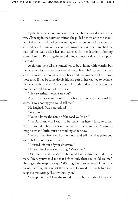By the time her emotions began to settle, she had no idea where she was. Glancing in the rearview mirror, she pulled her car onto the shoulder of the road. Fields of yet-uncut hay seemed to go on forever as cars whizzed past. Unsure of the county or town she was in, she grabbed the map off the seat beside her and searched for her location. Nothing looked familiar. Realizing the stupid thing was upside down, she flipped it around.

At this moment all she wanted was to be at home with Martin, but the next few days had to be walked through first. She'd given Sarah her word. Even as that thought crossed her mind, she wondered if there was more to it. If maybe some deeply hidden part of her wanted to be here. Desperate to hear Martin's voice, to feel like she did when with him, she took her cell phone out of her purse.

"Hey, sweetheart, where are you?"

A sense of belonging washed over her the moment she heard his voice. "I was hoping you could tell me."

He laughed. "Are you serious?"

"Yeah, sort of."

"Do you know the name of the road you're on?"

"No. All I know is I want to be there, not here." In spite of her effort to sound upbeat, she came across as pathetic and didn't want to imagine what Martin must be thinking about now.

"Look at the directions I printed out, and tell me what point you got to before you became lost."

"I turned left out of your driveway."

His low chuckle was reassuring. "Very cute."

Determined to show Martin she could handle this, she studied the map. "Yeah, you've told me that before, only then you could see me." She angled the map sideways. "Wait. I got it. I know where I am." She pressed her fingertip against the map and followed the line before realizing she was wrong. "Lost without you."

"Metaphorically, I love the sound of that, but you should have let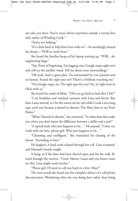me take you there. You've never driven anywhere outside a twenty-five mile radius of Winding Creek."

"You're not helping."

"It's a little hard to help from here with no"—he mockingly cleared his throat—"POB to work from."

She heard the familiar beeps of his laptop starting up. "POB…ah, engineering lingo."

"Yep. Point of beginning. I'm logging onto Google maps right now and will try the satellite visual. Tell me about your surroundings."

"Oh yeah, that's a great plan. I'm surrounded by cow pastures and no houses. Found the right spot yet? There's a Holstein watching me."

"On Google maps, no. The right spot for you? Yes, it's right here in Ohio with us."

She heard the rustle of fabric. "Did you go back to bed after I left?"

"I ate breakfast and watched cartoons with Lissa and Kevin. But then Laura arrived, so I let the nanny do her job while I took a nice long nap, until you became a damsel in distress. The Mary Jane to my Peter Parker."

"What? Damsel in distress," she muttered. "So what does that make you when you don't know the difference between a skillet and a pot?"

"A typical male who just happens to be…" He paused. "Come on, work with me here, phone girl. Who just happens to be…"

"Charming and intelligent." She mimicked his clearing of the throat. "According to him."

He laughed. A loud crash echoed through her cell. Lissa screamed, and Hannah's breath caught.

A bang, as if his door had been shoved open and hit the wall, filtered through the receiver. "Uncle Martin, Laura said you better come see this. Lissa might need stitches."

"Phone girl, I'll need to call you back in a few. Okay?"

The next sound she heard was the complete silence of a cell-phone disconnection. Wondering what she was doing here rather than being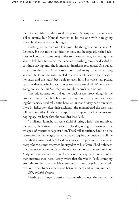there to help Martin, she closed her phone. At sixty-two, Laura was a skilled nanny, but Hannah wanted to be the one with him going through whatever the day brought.

Looking at the map one last time, she thought about calling Dr. Lehman. He was more than just her boss, and he regularly visited relatives in Lancaster, some forty miles southeast of here, so he might be able to help her. But rather than chance disturbing him, she decided to continue driving until she found a landmark she recognized. She pulled back onto the road. After a solid hour and many times of turning around, she found the road that led to Owl's Perch. Martin hadn't called her back, and she hadn't been able to reach him. His voice mail picked up immediately, which meant his phone was turned off. Whatever was going on, she bet his Saturday was tough, nanny's help or not.

The oddest sensation slid up her back as she drove alongside the Susquehanna River. She'd been in this very spot three years ago, heading for Hershey Medical Center because Luke and Mary had been taken there by helicopter after their accident. She remembered the days that followed, months of hiding her rape from everyone but her parents and hoping against hope that she wouldn't lose Paul.

"Brilliant, Hannah, you were afraid of losing a jerk." She mumbled the words, then turned the radio up louder, trying to drown out the whispers of resentment against him. The familiar territory had to be the reason for the fresh edge of offense that cut against her insides. In all the time she'd known Paul, he'd lived on a college campus not far from here, except for the summers, when he stayed with his Gram. She'd only seen this area twice before, once on the way to the hospital to see Luke and Mary and again about two weeks later on the way back home, but in each instance she'd been keenly aware that she was in Paul's stomping grounds. At the time she felt connected to him, hopeful they could overcome the obstacles that stood between them and getting married.

*Silly, childish dreams.*

Needing a stronger diversion than worship songs, she pushed the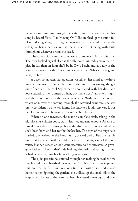radio button, jumping through the stations until she found a familiar song by Rascal Flatts, "I'm Moving On." She cranked up the sound full blast and sang along, assuring her anxieties that she would survive the oddity of being here as well as the misery of not being with Lissa throughout whatever ordeal she faced.

The waters of the Susquehanna weren't brown and frothy this time. The river looked crystal clear as the afternoon sun rode across the ripples. In less than an hour she'd be in Owl's Perch, and as badly as she wanted to arrive, she didn't want to face her father. What was she going to say to him?

A dozen songs later, that question was still on her mind as she drove into her parents' driveway. Her mouth dry and palms sweaty, she got out of her car. The cool September breeze played with her dress and loose strands of her pinned-up hair, but there wasn't anyone in sight, and the wood doors on the house were shut. Without any sounds of voices or movement coming through the screened windows, she was pretty confident no one was home. She knocked loudly anyway. It was rare for everyone to be gone if it wasn't a church day.

When no one answered, she made a complete circle, taking in the old place, its chicken coop, barns, lean-to, and smokehouse. A sense of nostalgia reverberated through her as she absorbed the homestead where she'd been born and her mother before her. The tops of the huge oaks rustled. She walked to the hand pump, pushed and pulled the handle until water poured forth, and filled a tin cup. Taking a sip of the cool water, Hannah sensed an odd connectedness to her ancestors. A greatgrandfather on her mother's side had dug this well, and springs that fed it had been sustaining her family for generations.

The quiet peacefulness moved through her, making her realize how much she'd once cherished parts of the Plain life. She hadn't expected this, and for the first time in a long time, she wished she understood herself better. Spotting the garden, she walked up the small hill to the edge of it. The last of the corn had been harvested weeks ago, and now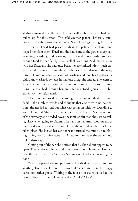all that remained were the cut-off brown stalks. The pea plants had been pulled up for the season. The cold-weather plants—broccoli, cauliflower, and cabbage—were thriving. She'd loved gardening from the first time her Daed had placed seeds in the palms of her hands and helped her plant them. Daed and she had come to the garden every day, watching, weeding, and watering. In the end those seeds produced enough food for her family to eat well all year long. Suddenly missing who her Daed and she had once been, her eyes misted. How much easier it would be to sort through her feelings if she understood the magnitude of emotions that came out of nowhere and took her to places she didn't know existed. Perhaps in that one thing, she and Sarah weren't so very different. Her sister seemed to respond immediately to the emotions that marched through her, and Hannah stood against them, but either way they left a mark.

Her mind returned to the strange conversation she'd had with Sarah—the jumbled words and thoughts that circled with no destination. She needed to find out what was going on with her. Deciding to go see Luke and Mary for answers, she went to her car. She backed out of the driveway and headed down the familiar dirt road she used to walk regularly when going to Gram's. The hairs on her arms stood on end as the paved road turned into a gravel one, the one where the attack had taken place. She locked her car doors and turned the music up to blaring, trying not to think about it. A few minutes later she pulled into Luke's driveway.

Getting out of the car, she noticed that his shop didn't appear to be open. The windows, blinds, and doors were closed. It seemed like he'd have the place open on a Saturday. She knocked loudly before trying the door.

When it opened, she stepped inside. The shadowy place didn't look anything like a usable shop. It looked like a storage room for buggy parts, not leather goods. Waiting at the foot of the stairs that led to the second-floor apartment, Hannah called, "Luke? Mary?"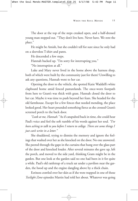The door at the top of the steps creaked open, and a half-dressed young man stepped out. "They don't live here. Never have. We rent the place."

He might be Amish, but she couldn't tell for sure since he only had on a sleeveless T-shirt and pants.

He descended a few steps.

Hannah backed up. "I'm sorry for interrupting you."

"No interruption at all."

Luke and Mary never lived in the home above the harness shop, both of which were built by the community just for them? Unwilling to ask any questions, Hannah went to her car.

Opening the door to the vehicle, she spotted Katie Waddell's white clapboard home amid fenced pasturelands. The once-worn footpath from here to Gram's was thick with grass. Hannah closed the door to her car. Maybe it was time to push beyond her fears. She headed for the old farmhouse. Except for a few fences that needed mending, the place looked good. Her heart pounded something fierce as she crossed Gram's screened porch to the back door.

*"Look at me, Hannah."* As if catapulted back in time, she could hear Paul's voice and feel the soft rumble of his words against her soul. *"I've been aching to talk to you before I return to college. There are some things I just can't write in a letter."*

She shuddered, trying to dismiss the memory and ignore the feelings that washed over her as she knocked on the door. No one answered. She peered through the gape in the curtains that hung over the glass part of the door and knocked louder. After several minutes she gave up, left the porch, and moved to the side yard, thinking Gram might be in the garden. But one look at the garden said no one had been in it for quite a while. Paul's old rattletrap of a truck sat under a pavilion near the garden, the hood up and the engine dangling above by a thick chain.

Eeriness crawled over her skin as if she were trapped in one of those *Twilight Zone* episodes Martin had told her about. Whatever was going